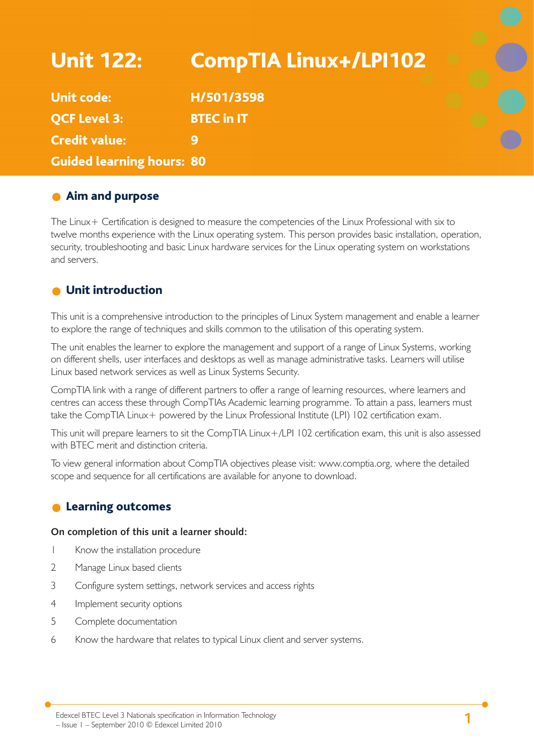| <b>Unit 122:</b>                 | <b>CompTIA Linux+/LPI102</b> |  |
|----------------------------------|------------------------------|--|
| Unit code:                       | H/501/3598                   |  |
| <b>QCF Level 3:</b>              | <b>BTEC in IT</b>            |  |
| <b>Credit value:</b>             |                              |  |
| <b>Guided learning hours: 80</b> |                              |  |

### **Aim and purpose**

The Linux+ Certification is designed to measure the competencies of the Linux Professional with six to twelve months experience with the Linux operating system. This person provides basic installation, operation, security, troubleshooting and basic Linux hardware services for the Linux operating system on workstations and servers.

## Unit introduction

This unit is a comprehensive introduction to the principles of Linux System management and enable a learner to explore the range of techniques and skills common to the utilisation of this operating system.

The unit enables the learner to explore the management and support of a range of Linux Systems, working on different shells, user interfaces and desktops as well as manage administrative tasks. Learners will utilise Linux based network services as well as Linux Systems Security.

CompTIA link with a range of different partners to offer a range of learning resources, where learners and centres can access these through CompTIAs Academic learning programme. To attain a pass, learners must take the CompTIA Linux+ powered by the Linux Professional Institute (LPI) 102 certification exam.

This unit will prepare learners to sit the CompTIA Linux+/LPI 102 certification exam, this unit is also assessed with BTEC merit and distinction criteria.

To view general information about CompTIA objectives please visit: www.comptia.org, where the detailed scope and sequence for all certifications are available for anyone to download.

## **C** Learning outcomes

#### **On completion of this unit a learner should:**

- 1 Know the installation procedure
- 2 Manage Linux based clients
- 3 Configure system settings, network services and access rights
- 4 Implement security options
- 5 Complete documentation
- 6 Know the hardware that relates to typical Linux client and server systems.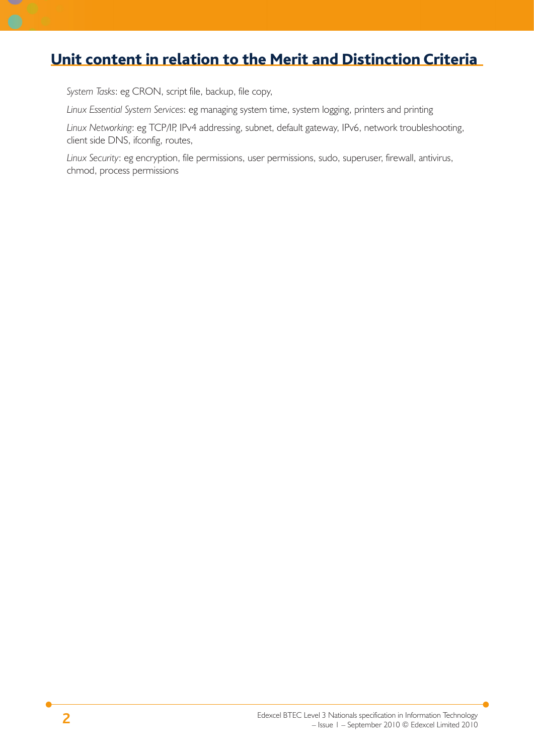# Unit content in relation to the Merit and Distinction Criteria

*System Tasks*: eg CRON, script file, backup, file copy,

*Linux Essential System Services*: eg managing system time, system logging, printers and printing

*Linux Networking*: eg TCP/IP, IPv4 addressing, subnet, default gateway, IPv6, network troubleshooting, client side DNS, ifconfig, routes,

*Linux Security*: eg encryption, file permissions, user permissions, sudo, superuser, firewall, antivirus, chmod, process permissions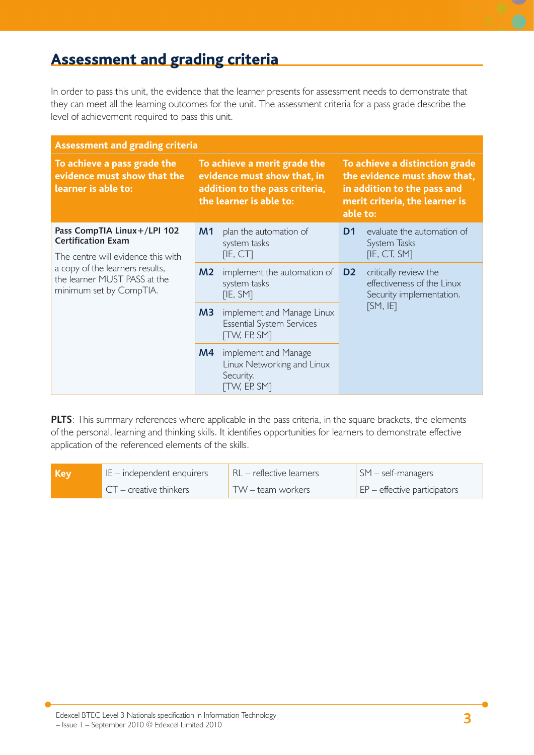# Assessment and grading criteria

In order to pass this unit, the evidence that the learner presents for assessment needs to demonstrate that they can meet all the learning outcomes for the unit. The assessment criteria for a pass grade describe the level of achievement required to pass this unit.

| <b>Assessment and grading criteria</b>                                                                                                                                                       |                                                                                                                          |                                                                                       |                                                                                                                                             |                                                                                 |
|----------------------------------------------------------------------------------------------------------------------------------------------------------------------------------------------|--------------------------------------------------------------------------------------------------------------------------|---------------------------------------------------------------------------------------|---------------------------------------------------------------------------------------------------------------------------------------------|---------------------------------------------------------------------------------|
| To achieve a pass grade the<br>evidence must show that the<br>learner is able to:                                                                                                            | To achieve a merit grade the<br>evidence must show that, in<br>addition to the pass criteria,<br>the learner is able to: |                                                                                       | To achieve a distinction grade<br>the evidence must show that,<br>in addition to the pass and<br>merit criteria, the learner is<br>able to: |                                                                                 |
| Pass CompTIA Linux+/LPI 102<br><b>Certification Exam</b><br>The centre will evidence this with<br>a copy of the learners results,<br>the learner MUST PASS at the<br>minimum set by CompTIA. | M <sub>1</sub>                                                                                                           | plan the automation of<br>system tasks<br>[IE, CT]                                    | D <sub>1</sub>                                                                                                                              | evaluate the automation of<br>System Tasks<br>[IE, CT, SM]                      |
|                                                                                                                                                                                              | M <sub>2</sub>                                                                                                           | implement the automation of<br>system tasks<br>[IE, SM]                               | D <sub>2</sub>                                                                                                                              | critically review the<br>effectiveness of the Linux<br>Security implementation. |
|                                                                                                                                                                                              | M3                                                                                                                       | implement and Manage Linux<br><b>Essential System Services</b><br><b>TW, EP, SMT</b>  |                                                                                                                                             | [SM, IF]                                                                        |
|                                                                                                                                                                                              | M4                                                                                                                       | implement and Manage<br>Linux Networking and Linux<br>Security.<br><b>TW, EP, SMT</b> |                                                                                                                                             |                                                                                 |

**PLTS**: This summary references where applicable in the pass criteria, in the square brackets, the elements of the personal, learning and thinking skills. It identifies opportunities for learners to demonstrate effective application of the referenced elements of the skills.

| Key | $IE$ – independent enquirers | $RL$ – reflective learners | $\mathsf{SM}$ – self-managers                     |
|-----|------------------------------|----------------------------|---------------------------------------------------|
|     | $CT -$ creative thinkers     | $TW$ – team workers        | $\mathsf{E} \mathsf{P}$ – effective participators |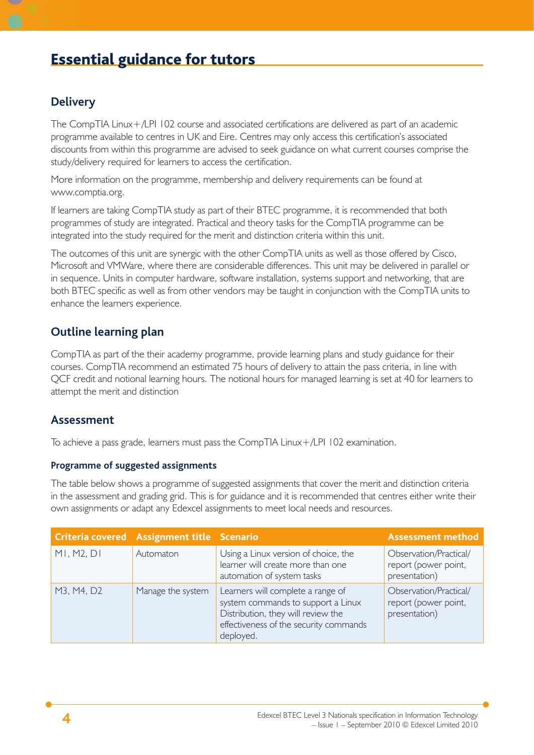# Essential guidance for tutors

### **Delivery**

The CompTIA Linux+/LPI 102 course and associated certifications are delivered as part of an academic programme available to centres in UK and Eire. Centres may only access this certification's associated discounts from within this programme are advised to seek guidance on what current courses comprise the study/delivery required for learners to access the certification.

More information on the programme, membership and delivery requirements can be found at www.comptia.org.

If learners are taking CompTIA study as part of their BTEC programme, it is recommended that both programmes of study are integrated. Practical and theory tasks for the CompTIA programme can be integrated into the study required for the merit and distinction criteria within this unit.

The outcomes of this unit are synergic with the other CompTIA units as well as those offered by Cisco, Microsoft and VMWare, where there are considerable differences. This unit may be delivered in parallel or in sequence. Units in computer hardware, software installation, systems support and networking, that are both BTEC specific as well as from other vendors may be taught in conjunction with the CompTIA units to enhance the learners experience.

### **Outline learning plan**

CompTIA as part of the their academy programme, provide learning plans and study guidance for their courses. CompTIA recommend an estimated 75 hours of delivery to attain the pass criteria, in line with QCF credit and notional learning hours. The notional hours for managed learning is set at 40 for learners to attempt the merit and distinction

#### **Assessment**

To achieve a pass grade, learners must pass the CompTIA Linux+/LPI 102 examination.

#### **Programme of suggested assignments**

The table below shows a programme of suggested assignments that cover the merit and distinction criteria in the assessment and grading grid. This is for guidance and it is recommended that centres either write their own assignments or adapt any Edexcel assignments to meet local needs and resources.

|            | Criteria covered Assignment title Scenario |                                                                                                                                                                      | <b>Assessment method</b>                                        |
|------------|--------------------------------------------|----------------------------------------------------------------------------------------------------------------------------------------------------------------------|-----------------------------------------------------------------|
| MI, M2, DI | Automaton                                  | Using a Linux version of choice, the<br>learner will create more than one<br>automation of system tasks                                                              | Observation/Practical/<br>report (power point,<br>presentation) |
| M3, M4, D2 | Manage the system                          | Learners will complete a range of<br>system commands to support a Linux<br>Distribution, they will review the<br>effectiveness of the security commands<br>deployed. | Observation/Practical/<br>report (power point,<br>presentation) |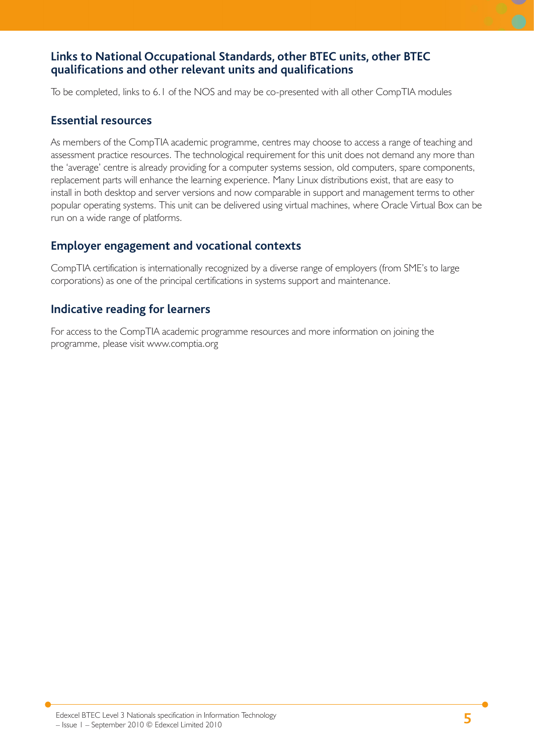### **Links to National Occupational Standards, other BTEC units, other BTEC qualifi cations and other relevant units and qualifi cations**

To be completed, links to 6.1 of the NOS and may be co-presented with all other CompTIA modules

#### **Essential resources**

As members of the CompTIA academic programme, centres may choose to access a range of teaching and assessment practice resources. The technological requirement for this unit does not demand any more than the 'average' centre is already providing for a computer systems session, old computers, spare components, replacement parts will enhance the learning experience. Many Linux distributions exist, that are easy to install in both desktop and server versions and now comparable in support and management terms to other popular operating systems. This unit can be delivered using virtual machines, where Oracle Virtual Box can be run on a wide range of platforms.

#### **Employer engagement and vocational contexts**

CompTIA certification is internationally recognized by a diverse range of employers (from SME's to large corporations) as one of the principal certifications in systems support and maintenance.

### **Indicative reading for learners**

For access to the CompTIA academic programme resources and more information on joining the programme, please visit www.comptia.org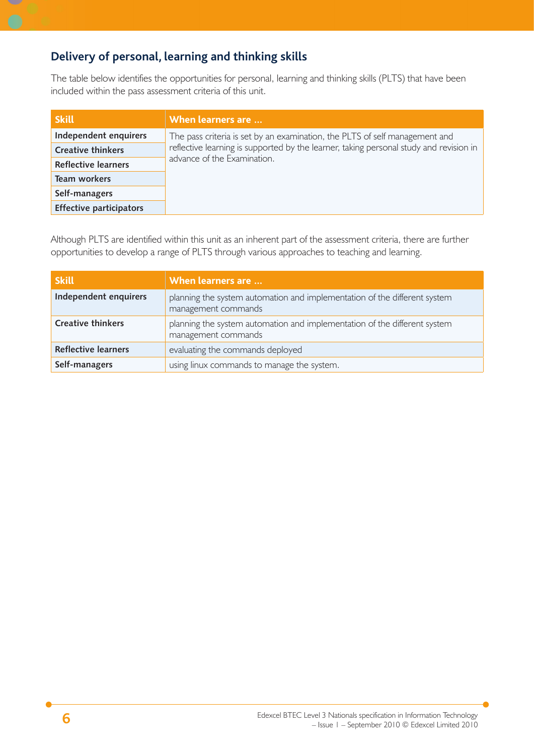# **Delivery of personal, learning and thinking skills**

The table below identifies the opportunities for personal, learning and thinking skills (PLTS) that have been included within the pass assessment criteria of this unit.

| <b>Skill</b>                   | When learners are                                                                      |
|--------------------------------|----------------------------------------------------------------------------------------|
| Independent enquirers          | The pass criteria is set by an examination, the PLTS of self management and            |
| <b>Creative thinkers</b>       | reflective learning is supported by the learner, taking personal study and revision in |
| Reflective learners            | advance of the Examination.                                                            |
| <b>Team workers</b>            |                                                                                        |
| Self-managers                  |                                                                                        |
| <b>Effective participators</b> |                                                                                        |

Although PLTS are identified within this unit as an inherent part of the assessment criteria, there are further opportunities to develop a range of PLTS through various approaches to teaching and learning.

| <b>Skill</b>               | When learners are                                                                                |  |
|----------------------------|--------------------------------------------------------------------------------------------------|--|
| Independent enquirers      | planning the system automation and implementation of the different system<br>management commands |  |
| <b>Creative thinkers</b>   | planning the system automation and implementation of the different system<br>management commands |  |
| <b>Reflective learners</b> | evaluating the commands deployed                                                                 |  |
| Self-managers              | using linux commands to manage the system.                                                       |  |